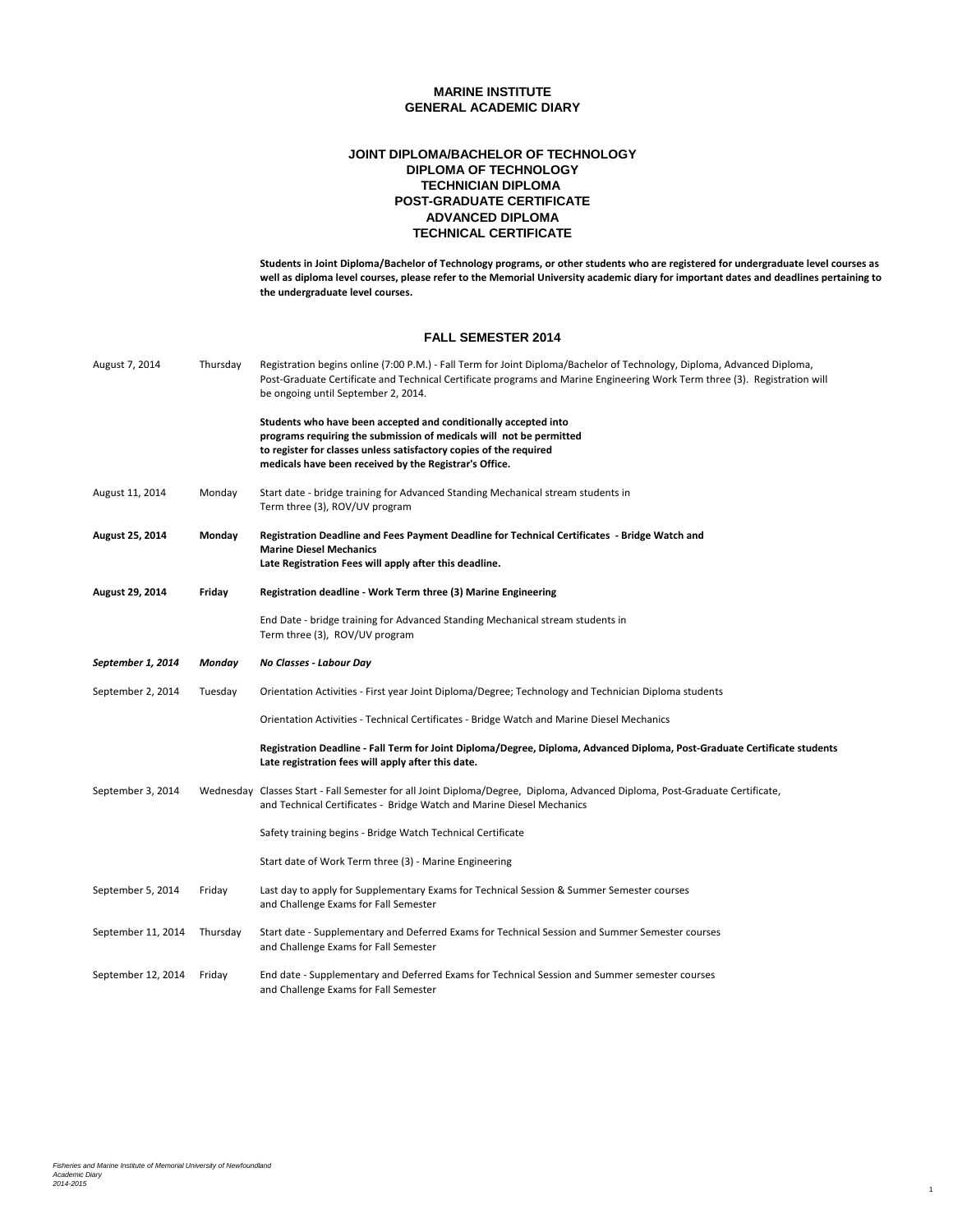## **POST-GRADUATE CERTIFICATE JOINT DIPLOMA/BACHELOR OF TECHNOLOGY DIPLOMA OF TECHNOLOGY TECHNICIAN DIPLOMA ADVANCED DIPLOMA TECHNICAL CERTIFICATE**

**Students in Joint Diploma/Bachelor of Technology programs, or other students who are registered for undergraduate level courses as well as diploma level courses, please refer to the Memorial University academic diary for important dates and deadlines pertaining to the undergraduate level courses.**

1

#### **FALL SEMESTER 2014**

| August 7, 2014     | Thursday | Registration begins online (7:00 P.M.) - Fall Term for Joint Diploma/Bachelor of Technology, Diploma, Advanced Diploma,<br>Post-Graduate Certificate and Technical Certificate programs and Marine Engineering Work Term three (3). Registration will<br>be ongoing until September 2, 2014. |
|--------------------|----------|----------------------------------------------------------------------------------------------------------------------------------------------------------------------------------------------------------------------------------------------------------------------------------------------|
|                    |          | Students who have been accepted and conditionally accepted into<br>programs requiring the submission of medicals will not be permitted<br>to register for classes unless satisfactory copies of the required<br>medicals have been received by the Registrar's Office.                       |
| August 11, 2014    | Monday   | Start date - bridge training for Advanced Standing Mechanical stream students in<br>Term three (3), ROV/UV program                                                                                                                                                                           |
| August 25, 2014    | Monday   | Registration Deadline and Fees Payment Deadline for Technical Certificates - Bridge Watch and<br><b>Marine Diesel Mechanics</b><br>Late Registration Fees will apply after this deadline.                                                                                                    |
| August 29, 2014    | Friday   | Registration deadline - Work Term three (3) Marine Engineering                                                                                                                                                                                                                               |
|                    |          | End Date - bridge training for Advanced Standing Mechanical stream students in<br>Term three (3), ROV/UV program                                                                                                                                                                             |
| September 1, 2014  | Monday   | No Classes - Labour Day                                                                                                                                                                                                                                                                      |
| September 2, 2014  | Tuesday  | Orientation Activities - First year Joint Diploma/Degree; Technology and Technician Diploma students                                                                                                                                                                                         |
|                    |          | Orientation Activities - Technical Certificates - Bridge Watch and Marine Diesel Mechanics                                                                                                                                                                                                   |
|                    |          | Registration Deadline - Fall Term for Joint Diploma/Degree, Diploma, Advanced Diploma, Post-Graduate Certificate students<br>Late registration fees will apply after this date.                                                                                                              |
| September 3, 2014  |          | Wednesday Classes Start - Fall Semester for all Joint Diploma/Degree, Diploma, Advanced Diploma, Post-Graduate Certificate,<br>and Technical Certificates - Bridge Watch and Marine Diesel Mechanics                                                                                         |
|                    |          | Safety training begins - Bridge Watch Technical Certificate                                                                                                                                                                                                                                  |
|                    |          | Start date of Work Term three (3) - Marine Engineering                                                                                                                                                                                                                                       |
| September 5, 2014  | Friday   | Last day to apply for Supplementary Exams for Technical Session & Summer Semester courses<br>and Challenge Exams for Fall Semester                                                                                                                                                           |
| September 11, 2014 | Thursday | Start date - Supplementary and Deferred Exams for Technical Session and Summer Semester courses<br>and Challenge Exams for Fall Semester                                                                                                                                                     |
| September 12, 2014 | Friday   | End date - Supplementary and Deferred Exams for Technical Session and Summer semester courses<br>and Challenge Exams for Fall Semester                                                                                                                                                       |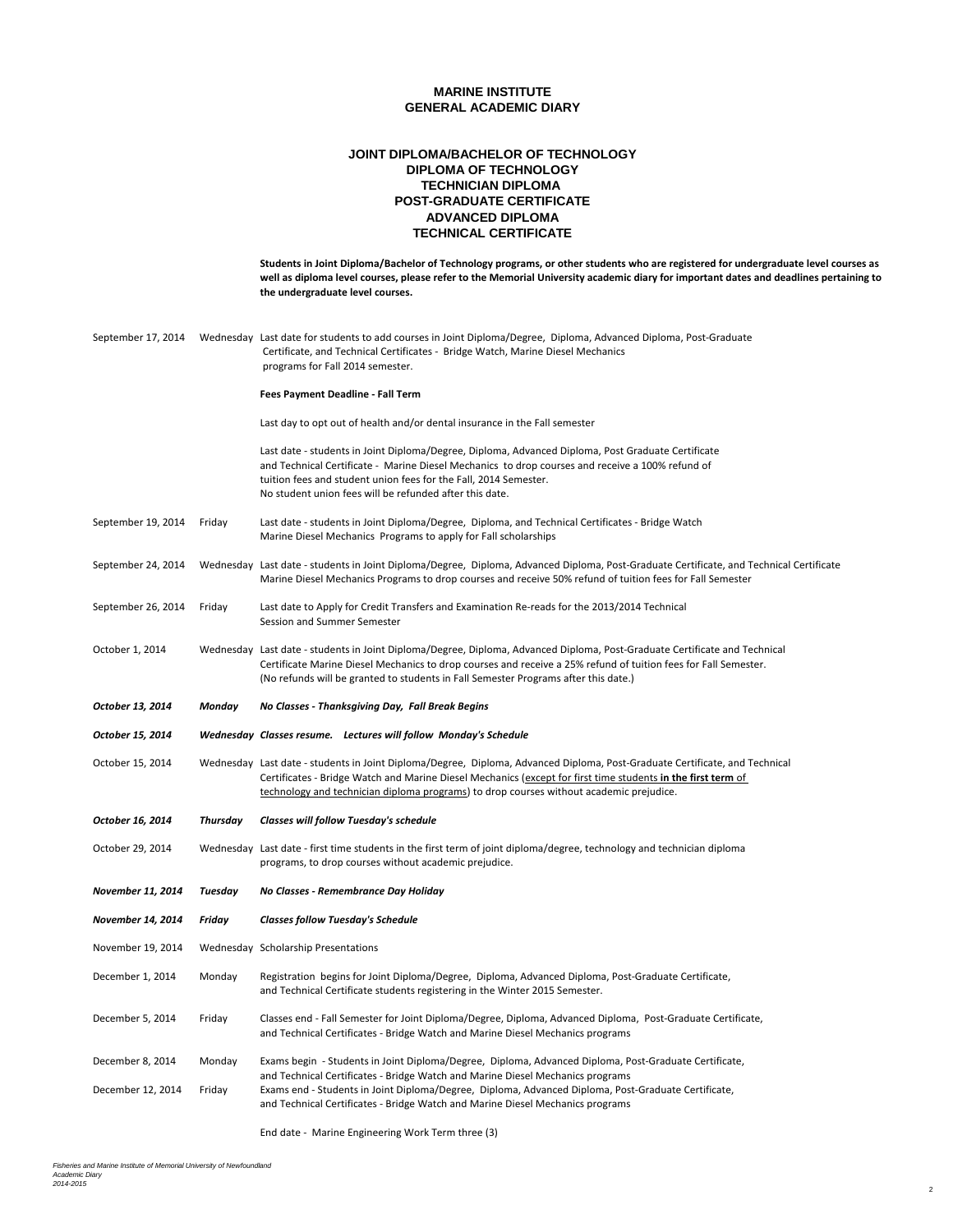## **POST-GRADUATE CERTIFICATE JOINT DIPLOMA/BACHELOR OF TECHNOLOGY DIPLOMA OF TECHNOLOGY TECHNICIAN DIPLOMA ADVANCED DIPLOMA TECHNICAL CERTIFICATE**

|                    |          | Students in Joint Diploma/Bachelor of Technology programs, or other students who are registered for undergraduate level courses as<br>well as diploma level courses, please refer to the Memorial University academic diary for important dates and deadlines pertaining to<br>the undergraduate level courses.                        |  |
|--------------------|----------|----------------------------------------------------------------------------------------------------------------------------------------------------------------------------------------------------------------------------------------------------------------------------------------------------------------------------------------|--|
| September 17, 2014 |          | Wednesday Last date for students to add courses in Joint Diploma/Degree, Diploma, Advanced Diploma, Post-Graduate<br>Certificate, and Technical Certificates - Bridge Watch, Marine Diesel Mechanics<br>programs for Fall 2014 semester.                                                                                               |  |
|                    |          | Fees Payment Deadline - Fall Term                                                                                                                                                                                                                                                                                                      |  |
|                    |          | Last day to opt out of health and/or dental insurance in the Fall semester                                                                                                                                                                                                                                                             |  |
|                    |          | Last date - students in Joint Diploma/Degree, Diploma, Advanced Diploma, Post Graduate Certificate<br>and Technical Certificate - Marine Diesel Mechanics to drop courses and receive a 100% refund of<br>tuition fees and student union fees for the Fall, 2014 Semester.<br>No student union fees will be refunded after this date.  |  |
| September 19, 2014 | Friday   | Last date - students in Joint Diploma/Degree, Diploma, and Technical Certificates - Bridge Watch<br>Marine Diesel Mechanics Programs to apply for Fall scholarships                                                                                                                                                                    |  |
| September 24, 2014 |          | Wednesday Last date - students in Joint Diploma/Degree, Diploma, Advanced Diploma, Post-Graduate Certificate, and Technical Certificate<br>Marine Diesel Mechanics Programs to drop courses and receive 50% refund of tuition fees for Fall Semester                                                                                   |  |
| September 26, 2014 | Friday   | Last date to Apply for Credit Transfers and Examination Re-reads for the 2013/2014 Technical<br>Session and Summer Semester                                                                                                                                                                                                            |  |
| October 1, 2014    |          | Wednesday Last date - students in Joint Diploma/Degree, Diploma, Advanced Diploma, Post-Graduate Certificate and Technical<br>Certificate Marine Diesel Mechanics to drop courses and receive a 25% refund of tuition fees for Fall Semester.<br>(No refunds will be granted to students in Fall Semester Programs after this date.)   |  |
|                    |          |                                                                                                                                                                                                                                                                                                                                        |  |
| October 13, 2014   | Monday   | No Classes - Thanksgiving Day, Fall Break Begins                                                                                                                                                                                                                                                                                       |  |
| October 15, 2014   |          | Wednesday Classes resume. Lectures will follow Monday's Schedule                                                                                                                                                                                                                                                                       |  |
| October 15, 2014   |          | Wednesday Last date - students in Joint Diploma/Degree, Diploma, Advanced Diploma, Post-Graduate Certificate, and Technical<br>Certificates - Bridge Watch and Marine Diesel Mechanics (except for first time students in the first term of<br>technology and technician diploma programs) to drop courses without academic prejudice. |  |
| October 16, 2014   | Thursday | Classes will follow Tuesday's schedule                                                                                                                                                                                                                                                                                                 |  |
| October 29, 2014   |          | Wednesday Last date - first time students in the first term of joint diploma/degree, technology and technician diploma<br>programs, to drop courses without academic prejudice.                                                                                                                                                        |  |
| November 11, 2014  | Tuesday  | No Classes - Remembrance Day Holiday                                                                                                                                                                                                                                                                                                   |  |
| November 14, 2014  | Friday   | <b>Classes follow Tuesday's Schedule</b>                                                                                                                                                                                                                                                                                               |  |
|                    |          | November 19, 2014    Wednesday Scholarship Presentations                                                                                                                                                                                                                                                                               |  |
| December 1, 2014   | Monday   | Registration begins for Joint Diploma/Degree, Diploma, Advanced Diploma, Post-Graduate Certificate,<br>and Technical Certificate students registering in the Winter 2015 Semester.                                                                                                                                                     |  |
| December 5, 2014   | Friday   | Classes end - Fall Semester for Joint Diploma/Degree, Diploma, Advanced Diploma, Post-Graduate Certificate,<br>and Technical Certificates - Bridge Watch and Marine Diesel Mechanics programs                                                                                                                                          |  |
| December 8, 2014   | Monday   | Exams begin - Students in Joint Diploma/Degree, Diploma, Advanced Diploma, Post-Graduate Certificate,                                                                                                                                                                                                                                  |  |
| December 12, 2014  | Friday   | and Technical Certificates - Bridge Watch and Marine Diesel Mechanics programs<br>Exams end - Students in Joint Diploma/Degree, Diploma, Advanced Diploma, Post-Graduate Certificate,<br>and Technical Certificates - Bridge Watch and Marine Diesel Mechanics programs                                                                |  |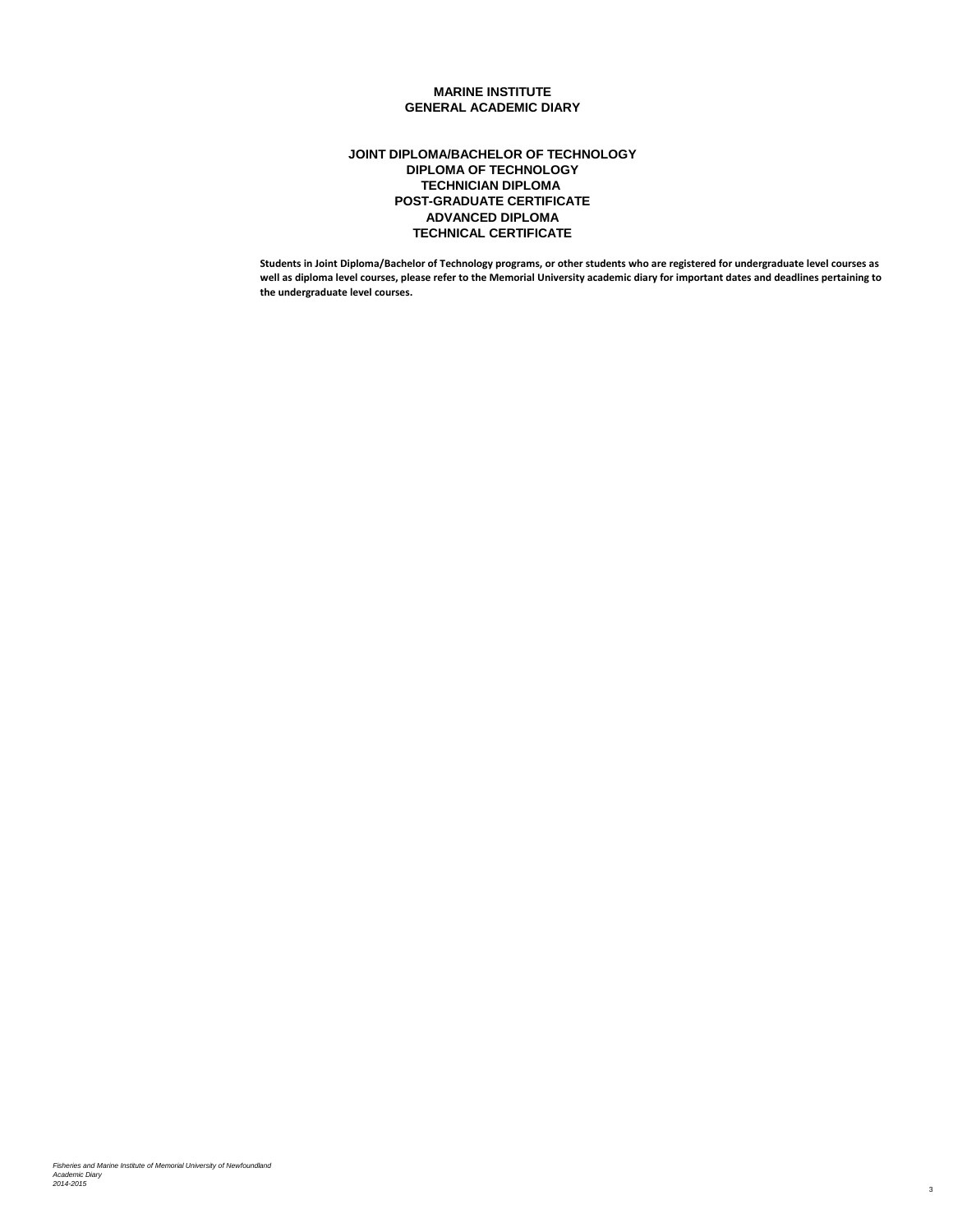## **POST-GRADUATE CERTIFICATE JOINT DIPLOMA/BACHELOR OF TECHNOLOGY DIPLOMA OF TECHNOLOGY TECHNICIAN DIPLOMA ADVANCED DIPLOMA TECHNICAL CERTIFICATE**

**Students in Joint Diploma/Bachelor of Technology programs, or other students who are registered for undergraduate level courses as well as diploma level courses, please refer to the Memorial University academic diary for important dates and deadlines pertaining to the undergraduate level courses.**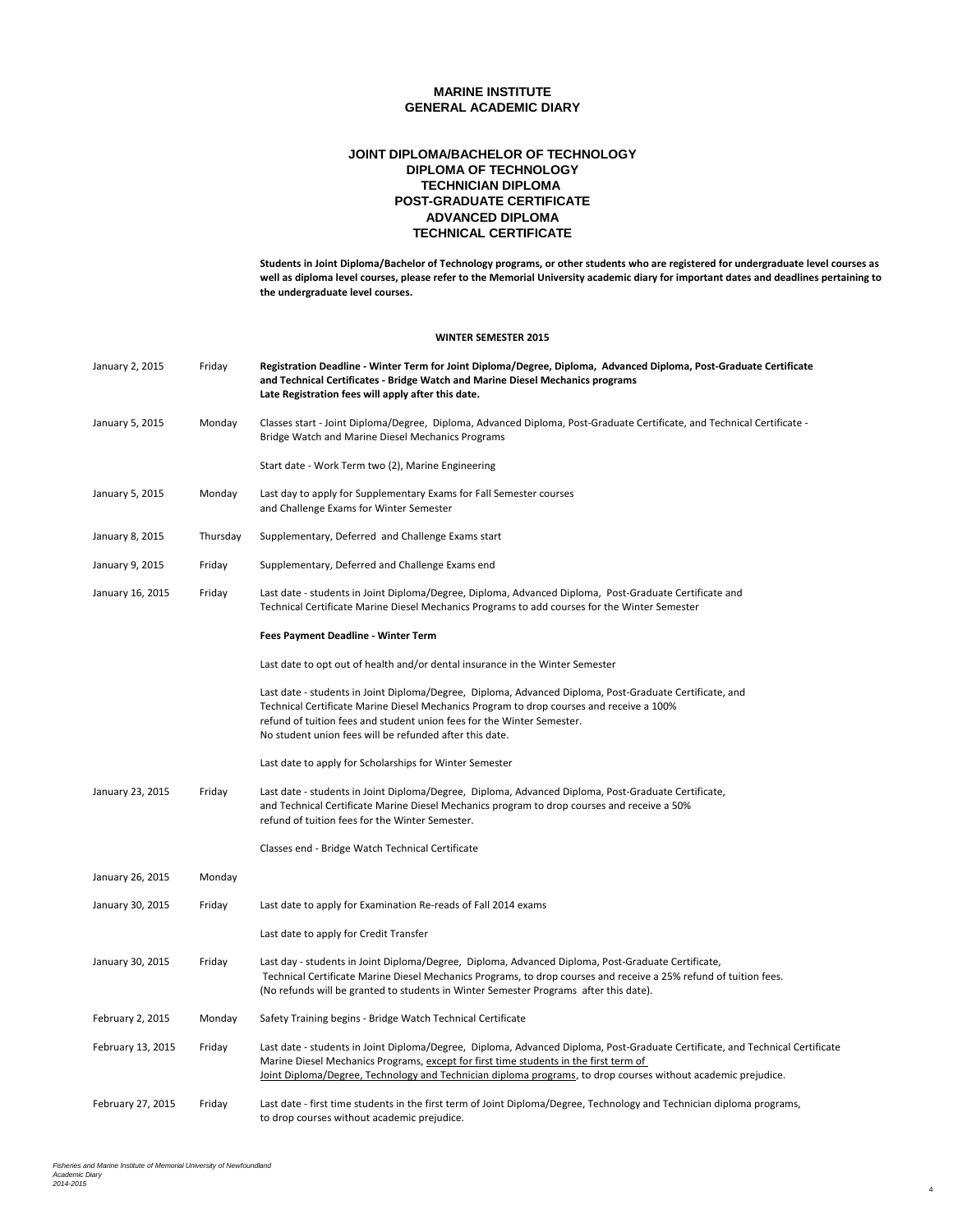## **POST-GRADUATE CERTIFICATE JOINT DIPLOMA/BACHELOR OF TECHNOLOGY DIPLOMA OF TECHNOLOGY TECHNICIAN DIPLOMA ADVANCED DIPLOMA TECHNICAL CERTIFICATE**

**Students in Joint Diploma/Bachelor of Technology programs, or other students who are registered for undergraduate level courses as well as diploma level courses, please refer to the Memorial University academic diary for important dates and deadlines pertaining to the undergraduate level courses.**

4

#### **WINTER SEMESTER 2015**

| January 2, 2015   | Friday   | Registration Deadline - Winter Term for Joint Diploma/Degree, Diploma, Advanced Diploma, Post-Graduate Certificate<br>and Technical Certificates - Bridge Watch and Marine Diesel Mechanics programs<br>Late Registration fees will apply after this date.                                                                               |  |
|-------------------|----------|------------------------------------------------------------------------------------------------------------------------------------------------------------------------------------------------------------------------------------------------------------------------------------------------------------------------------------------|--|
| January 5, 2015   | Monday   | Classes start - Joint Diploma/Degree, Diploma, Advanced Diploma, Post-Graduate Certificate, and Technical Certificate -<br>Bridge Watch and Marine Diesel Mechanics Programs                                                                                                                                                             |  |
|                   |          | Start date - Work Term two (2), Marine Engineering                                                                                                                                                                                                                                                                                       |  |
| January 5, 2015   | Monday   | Last day to apply for Supplementary Exams for Fall Semester courses<br>and Challenge Exams for Winter Semester                                                                                                                                                                                                                           |  |
| January 8, 2015   | Thursday | Supplementary, Deferred and Challenge Exams start                                                                                                                                                                                                                                                                                        |  |
| January 9, 2015   | Friday   | Supplementary, Deferred and Challenge Exams end                                                                                                                                                                                                                                                                                          |  |
| January 16, 2015  | Friday   | Last date - students in Joint Diploma/Degree, Diploma, Advanced Diploma, Post-Graduate Certificate and<br>Technical Certificate Marine Diesel Mechanics Programs to add courses for the Winter Semester                                                                                                                                  |  |
|                   |          | Fees Payment Deadline - Winter Term                                                                                                                                                                                                                                                                                                      |  |
|                   |          | Last date to opt out of health and/or dental insurance in the Winter Semester                                                                                                                                                                                                                                                            |  |
|                   |          | Last date - students in Joint Diploma/Degree, Diploma, Advanced Diploma, Post-Graduate Certificate, and<br>Technical Certificate Marine Diesel Mechanics Program to drop courses and receive a 100%<br>refund of tuition fees and student union fees for the Winter Semester.<br>No student union fees will be refunded after this date. |  |
|                   |          | Last date to apply for Scholarships for Winter Semester                                                                                                                                                                                                                                                                                  |  |
| January 23, 2015  | Friday   | Last date - students in Joint Diploma/Degree, Diploma, Advanced Diploma, Post-Graduate Certificate,<br>and Technical Certificate Marine Diesel Mechanics program to drop courses and receive a 50%<br>refund of tuition fees for the Winter Semester.                                                                                    |  |
|                   |          | Classes end - Bridge Watch Technical Certificate                                                                                                                                                                                                                                                                                         |  |
| January 26, 2015  | Monday   |                                                                                                                                                                                                                                                                                                                                          |  |
| January 30, 2015  | Friday   | Last date to apply for Examination Re-reads of Fall 2014 exams                                                                                                                                                                                                                                                                           |  |
|                   |          | Last date to apply for Credit Transfer                                                                                                                                                                                                                                                                                                   |  |
| January 30, 2015  | Friday   | Last day - students in Joint Diploma/Degree, Diploma, Advanced Diploma, Post-Graduate Certificate,<br>Technical Certificate Marine Diesel Mechanics Programs, to drop courses and receive a 25% refund of tuition fees.<br>(No refunds will be granted to students in Winter Semester Programs after this date).                         |  |
| February 2, 2015  | Monday   | Safety Training begins - Bridge Watch Technical Certificate                                                                                                                                                                                                                                                                              |  |
| February 13, 2015 | Friday   | Last date - students in Joint Diploma/Degree, Diploma, Advanced Diploma, Post-Graduate Certificate, and Technical Certificate<br>Marine Diesel Mechanics Programs, except for first time students in the first term of<br>Joint Diploma/Degree, Technology and Technician diploma programs, to drop courses without academic prejudice.  |  |
| February 27, 2015 | Friday   | Last date - first time students in the first term of Joint Diploma/Degree, Technology and Technician diploma programs,<br>to drop courses without academic prejudice.                                                                                                                                                                    |  |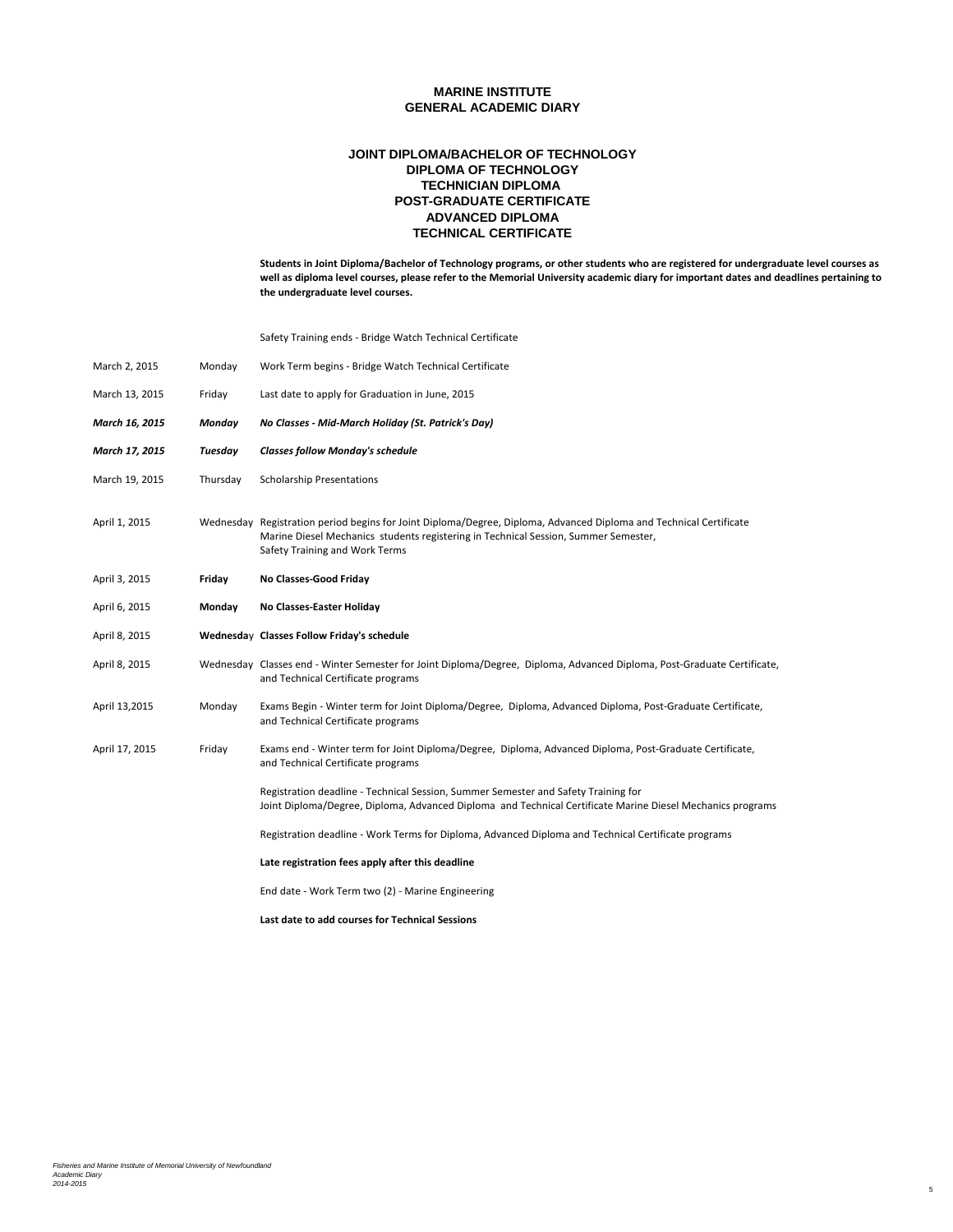## **POST-GRADUATE CERTIFICATE JOINT DIPLOMA/BACHELOR OF TECHNOLOGY DIPLOMA OF TECHNOLOGY TECHNICIAN DIPLOMA ADVANCED DIPLOMA TECHNICAL CERTIFICATE**

**Students in Joint Diploma/Bachelor of Technology programs, or other students who are registered for undergraduate level courses as well as diploma level courses, please refer to the Memorial University academic diary for important dates and deadlines pertaining to the undergraduate level courses.**

5

Safety Training ends - Bridge Watch Technical Certificate

| March 2, 2015  | Monday   | Work Term begins - Bridge Watch Technical Certificate                                                                                                                                                                                       |
|----------------|----------|---------------------------------------------------------------------------------------------------------------------------------------------------------------------------------------------------------------------------------------------|
| March 13, 2015 | Friday   | Last date to apply for Graduation in June, 2015                                                                                                                                                                                             |
| March 16, 2015 | Monday   | No Classes - Mid-March Holiday (St. Patrick's Day)                                                                                                                                                                                          |
| March 17, 2015 | Tuesday  | <b>Classes follow Monday's schedule</b>                                                                                                                                                                                                     |
| March 19, 2015 | Thursday | <b>Scholarship Presentations</b>                                                                                                                                                                                                            |
| April 1, 2015  |          | Wednesday Registration period begins for Joint Diploma/Degree, Diploma, Advanced Diploma and Technical Certificate<br>Marine Diesel Mechanics students registering in Technical Session, Summer Semester,<br>Safety Training and Work Terms |
| April 3, 2015  | Friday   | No Classes-Good Friday                                                                                                                                                                                                                      |
| April 6, 2015  | Monday   | No Classes-Easter Holiday                                                                                                                                                                                                                   |
| April 8, 2015  |          | Wednesday Classes Follow Friday's schedule                                                                                                                                                                                                  |
| April 8, 2015  |          | Wednesday Classes end - Winter Semester for Joint Diploma/Degree, Diploma, Advanced Diploma, Post-Graduate Certificate,<br>and Technical Certificate programs                                                                               |
| April 13,2015  | Monday   | Exams Begin - Winter term for Joint Diploma/Degree, Diploma, Advanced Diploma, Post-Graduate Certificate,<br>and Technical Certificate programs                                                                                             |
| April 17, 2015 | Friday   | Exams end - Winter term for Joint Diploma/Degree, Diploma, Advanced Diploma, Post-Graduate Certificate,<br>and Technical Certificate programs                                                                                               |
|                |          | Registration deadline - Technical Session, Summer Semester and Safety Training for<br>Joint Diploma/Degree, Diploma, Advanced Diploma and Technical Certificate Marine Diesel Mechanics programs                                            |
|                |          | Registration deadline - Work Terms for Diploma, Advanced Diploma and Technical Certificate programs                                                                                                                                         |
|                |          | Late registration fees apply after this deadline                                                                                                                                                                                            |
|                |          | End date - Work Term two (2) - Marine Engineering                                                                                                                                                                                           |
|                |          | Last date to add courses for Technical Sessions                                                                                                                                                                                             |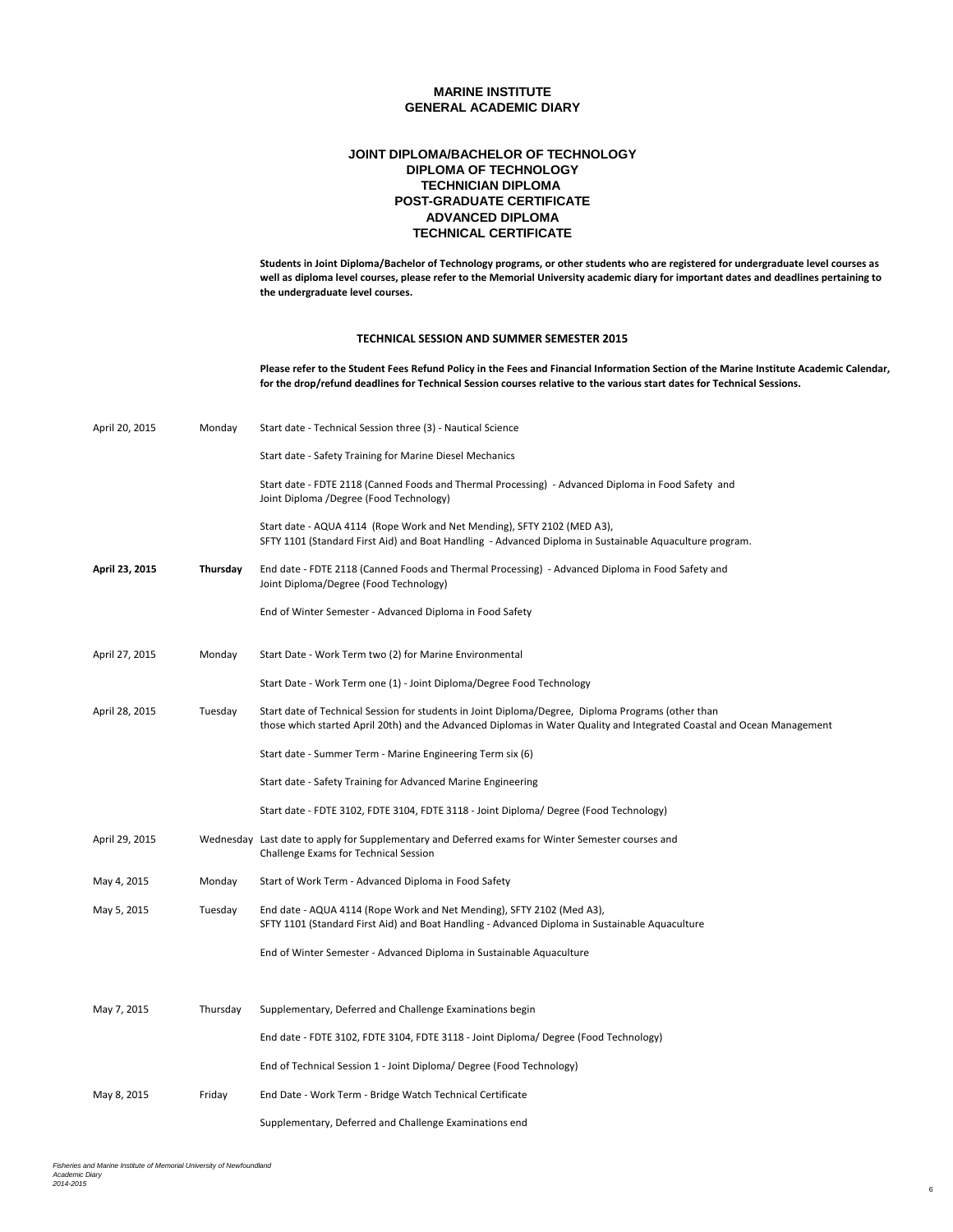## **POST-GRADUATE CERTIFICATE JOINT DIPLOMA/BACHELOR OF TECHNOLOGY DIPLOMA OF TECHNOLOGY TECHNICIAN DIPLOMA ADVANCED DIPLOMA TECHNICAL CERTIFICATE**

**Students in Joint Diploma/Bachelor of Technology programs, or other students who are registered for undergraduate level courses as well as diploma level courses, please refer to the Memorial University academic diary for important dates and deadlines pertaining to the undergraduate level courses.**

#### **TECHNICAL SESSION AND SUMMER SEMESTER 2015**

**Please refer to the Student Fees Refund Policy in the Fees and Financial Information Section of the Marine Institute Academic Calendar, for the drop/refund deadlines for Technical Session courses relative to the various start dates for Technical Sessions.**

| April 20, 2015 | Monday   | Start date - Technical Session three (3) - Nautical Science                                                                                                                                                                  |
|----------------|----------|------------------------------------------------------------------------------------------------------------------------------------------------------------------------------------------------------------------------------|
|                |          | Start date - Safety Training for Marine Diesel Mechanics                                                                                                                                                                     |
|                |          | Start date - FDTE 2118 (Canned Foods and Thermal Processing) - Advanced Diploma in Food Safety and<br>Joint Diploma /Degree (Food Technology)                                                                                |
|                |          | Start date - AQUA 4114 (Rope Work and Net Mending), SFTY 2102 (MED A3),<br>SFTY 1101 (Standard First Aid) and Boat Handling - Advanced Diploma in Sustainable Aquaculture program.                                           |
| April 23, 2015 | Thursday | End date - FDTE 2118 (Canned Foods and Thermal Processing) - Advanced Diploma in Food Safety and<br>Joint Diploma/Degree (Food Technology)                                                                                   |
|                |          | End of Winter Semester - Advanced Diploma in Food Safety                                                                                                                                                                     |
| April 27, 2015 | Monday   | Start Date - Work Term two (2) for Marine Environmental                                                                                                                                                                      |
|                |          | Start Date - Work Term one (1) - Joint Diploma/Degree Food Technology                                                                                                                                                        |
| April 28, 2015 | Tuesday  | Start date of Technical Session for students in Joint Diploma/Degree, Diploma Programs (other than<br>those which started April 20th) and the Advanced Diplomas in Water Quality and Integrated Coastal and Ocean Management |
|                |          | Start date - Summer Term - Marine Engineering Term six (6)                                                                                                                                                                   |
|                |          | Start date - Safety Training for Advanced Marine Engineering                                                                                                                                                                 |
|                |          | Start date - FDTE 3102, FDTE 3104, FDTE 3118 - Joint Diploma/ Degree (Food Technology)                                                                                                                                       |
| April 29, 2015 |          | Wednesday Last date to apply for Supplementary and Deferred exams for Winter Semester courses and<br>Challenge Exams for Technical Session                                                                                   |
| May 4, 2015    | Monday   | Start of Work Term - Advanced Diploma in Food Safety                                                                                                                                                                         |
| May 5, 2015    | Tuesday  | End date - AQUA 4114 (Rope Work and Net Mending), SFTY 2102 (Med A3),<br>SFTY 1101 (Standard First Aid) and Boat Handling - Advanced Diploma in Sustainable Aquaculture                                                      |
|                |          | End of Winter Semester - Advanced Diploma in Sustainable Aquaculture                                                                                                                                                         |
|                |          |                                                                                                                                                                                                                              |
| May 7, 2015    | Thursday | Supplementary, Deferred and Challenge Examinations begin                                                                                                                                                                     |
|                |          | End date - FDTE 3102, FDTE 3104, FDTE 3118 - Joint Diploma/ Degree (Food Technology)                                                                                                                                         |
|                |          | End of Technical Session 1 - Joint Diploma/ Degree (Food Technology)                                                                                                                                                         |
| May 8, 2015    | Friday   | End Date - Work Term - Bridge Watch Technical Certificate                                                                                                                                                                    |
|                |          | Supplementary, Deferred and Challenge Examinations end                                                                                                                                                                       |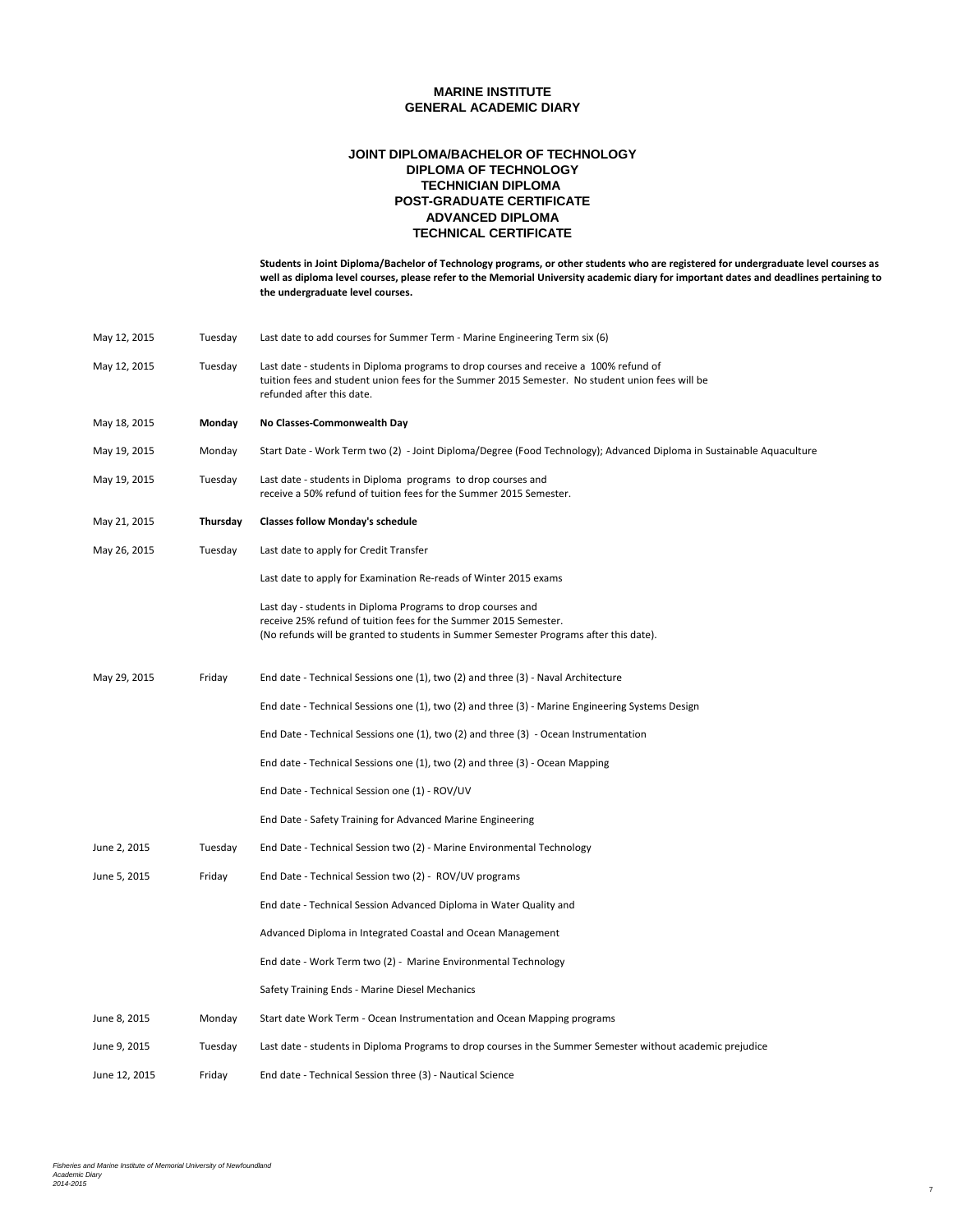## **POST-GRADUATE CERTIFICATE JOINT DIPLOMA/BACHELOR OF TECHNOLOGY DIPLOMA OF TECHNOLOGY TECHNICIAN DIPLOMA ADVANCED DIPLOMA TECHNICAL CERTIFICATE**

**Students in Joint Diploma/Bachelor of Technology programs, or other students who are registered for undergraduate level courses as well as diploma level courses, please refer to the Memorial University academic diary for important dates and deadlines pertaining to the undergraduate level courses.**

| May 12, 2015  | Tuesday  | Last date to add courses for Summer Term - Marine Engineering Term six (6)                                                                                                                                               |  |
|---------------|----------|--------------------------------------------------------------------------------------------------------------------------------------------------------------------------------------------------------------------------|--|
| May 12, 2015  | Tuesday  | Last date - students in Diploma programs to drop courses and receive a 100% refund of<br>tuition fees and student union fees for the Summer 2015 Semester. No student union fees will be<br>refunded after this date.    |  |
| May 18, 2015  | Monday   | No Classes-Commonwealth Day                                                                                                                                                                                              |  |
| May 19, 2015  | Monday   | Start Date - Work Term two (2) - Joint Diploma/Degree (Food Technology); Advanced Diploma in Sustainable Aquaculture                                                                                                     |  |
| May 19, 2015  | Tuesday  | Last date - students in Diploma programs to drop courses and<br>receive a 50% refund of tuition fees for the Summer 2015 Semester.                                                                                       |  |
| May 21, 2015  | Thursday | <b>Classes follow Monday's schedule</b>                                                                                                                                                                                  |  |
| May 26, 2015  | Tuesday  | Last date to apply for Credit Transfer                                                                                                                                                                                   |  |
|               |          | Last date to apply for Examination Re-reads of Winter 2015 exams                                                                                                                                                         |  |
|               |          | Last day - students in Diploma Programs to drop courses and<br>receive 25% refund of tuition fees for the Summer 2015 Semester.<br>(No refunds will be granted to students in Summer Semester Programs after this date). |  |
| May 29, 2015  | Friday   | End date - Technical Sessions one (1), two (2) and three (3) - Naval Architecture                                                                                                                                        |  |
|               |          | End date - Technical Sessions one (1), two (2) and three (3) - Marine Engineering Systems Design                                                                                                                         |  |
|               |          | End Date - Technical Sessions one (1), two (2) and three (3) - Ocean Instrumentation                                                                                                                                     |  |
|               |          | End date - Technical Sessions one (1), two (2) and three (3) - Ocean Mapping                                                                                                                                             |  |
|               |          | End Date - Technical Session one (1) - ROV/UV                                                                                                                                                                            |  |
|               |          | End Date - Safety Training for Advanced Marine Engineering                                                                                                                                                               |  |
| June 2, 2015  | Tuesday  | End Date - Technical Session two (2) - Marine Environmental Technology                                                                                                                                                   |  |
| June 5, 2015  | Friday   | End Date - Technical Session two (2) - ROV/UV programs                                                                                                                                                                   |  |
|               |          | End date - Technical Session Advanced Diploma in Water Quality and                                                                                                                                                       |  |
|               |          | Advanced Diploma in Integrated Coastal and Ocean Management                                                                                                                                                              |  |
|               |          | End date - Work Term two (2) - Marine Environmental Technology                                                                                                                                                           |  |
|               |          | Safety Training Ends - Marine Diesel Mechanics                                                                                                                                                                           |  |
| June 8, 2015  | Monday   | Start date Work Term - Ocean Instrumentation and Ocean Mapping programs                                                                                                                                                  |  |
| June 9, 2015  | Tuesday  | Last date - students in Diploma Programs to drop courses in the Summer Semester without academic prejudice                                                                                                               |  |
| June 12, 2015 | Friday   | End date - Technical Session three (3) - Nautical Science                                                                                                                                                                |  |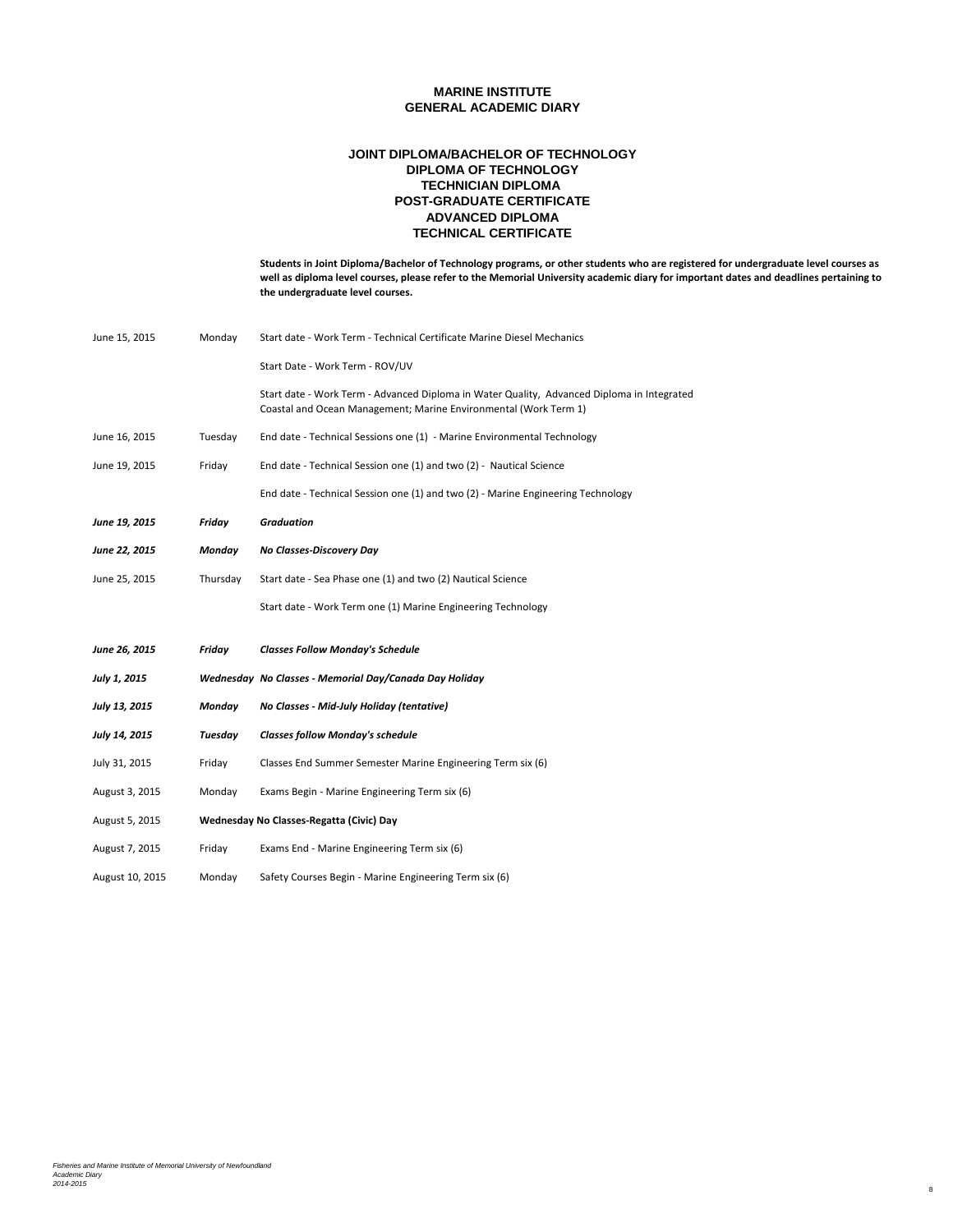## **POST-GRADUATE CERTIFICATE JOINT DIPLOMA/BACHELOR OF TECHNOLOGY DIPLOMA OF TECHNOLOGY TECHNICIAN DIPLOMA ADVANCED DIPLOMA TECHNICAL CERTIFICATE**

**Students in Joint Diploma/Bachelor of Technology programs, or other students who are registered for undergraduate level courses as well as diploma level courses, please refer to the Memorial University academic diary for important dates and deadlines pertaining to the undergraduate level courses.**

| June 15, 2015        | Monday   | Start date - Work Term - Technical Certificate Marine Diesel Mechanics                                                                                         |
|----------------------|----------|----------------------------------------------------------------------------------------------------------------------------------------------------------------|
|                      |          | Start Date - Work Term - ROV/UV                                                                                                                                |
|                      |          | Start date - Work Term - Advanced Diploma in Water Quality, Advanced Diploma in Integrated<br>Coastal and Ocean Management; Marine Environmental (Work Term 1) |
| June 16, 2015        | Tuesday  | End date - Technical Sessions one (1) - Marine Environmental Technology                                                                                        |
| June 19, 2015        | Friday   | End date - Technical Session one (1) and two (2) - Nautical Science                                                                                            |
|                      |          | End date - Technical Session one (1) and two (2) - Marine Engineering Technology                                                                               |
| June 19, 2015        | Friday   | <b>Graduation</b>                                                                                                                                              |
| June 22, 2015        | Monday   | No Classes-Discovery Day                                                                                                                                       |
| June 25, 2015        | Thursday | Start date - Sea Phase one (1) and two (2) Nautical Science                                                                                                    |
|                      |          | Start date - Work Term one (1) Marine Engineering Technology                                                                                                   |
| <b>June 26, 2015</b> | Friday   | <b>Classes Follow Monday's Schedule</b>                                                                                                                        |
| July 1, 2015         |          | Wednesday No Classes - Memorial Day/Canada Day Holiday                                                                                                         |
| July 13, 2015        | Monday   | No Classes - Mid-July Holiday (tentative)                                                                                                                      |
| July 14, 2015        | Tuesday  | <b>Classes follow Monday's schedule</b>                                                                                                                        |
| July 31, 2015        | Friday   | Classes End Summer Semester Marine Engineering Term six (6)                                                                                                    |
| August 3, 2015       | Monday   | Exams Begin - Marine Engineering Term six (6)                                                                                                                  |
| August 5, 2015       |          | Wednesday No Classes-Regatta (Civic) Day                                                                                                                       |
| August 7, 2015       | Friday   | Exams End - Marine Engineering Term six (6)                                                                                                                    |
| August 10, 2015      | Monday   | Safety Courses Begin - Marine Engineering Term six (6)                                                                                                         |